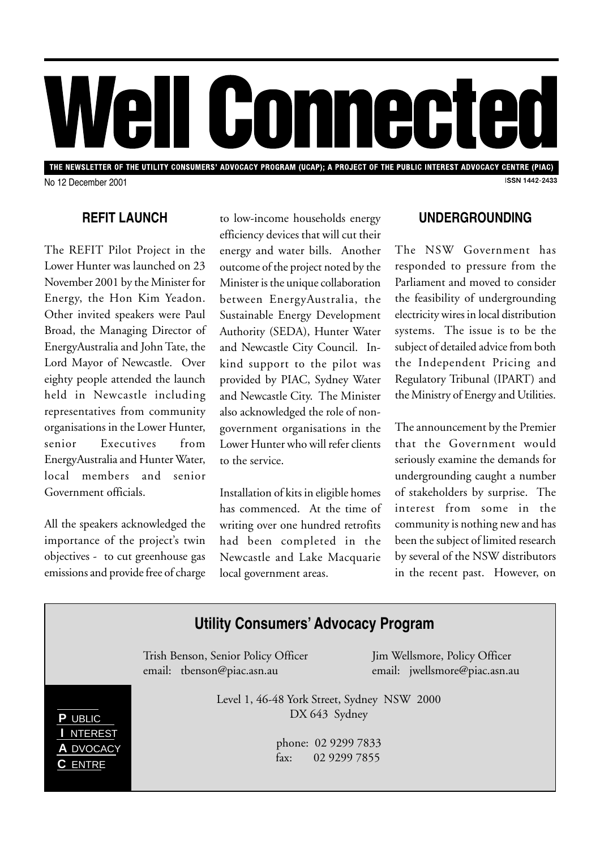

THE NEWSLETTER OF THE UTILITY CONSUMERS' ADVOCACY PROGRAM (UCAP); A PROJECT OF THE PUBLIC INTEREST ADVOCACY CENTRE (PIAC) **ISSN 1442-2433** No 12 December 2001

### **REFIT LAUNCH**

The REFIT Pilot Project in the Lower Hunter was launched on 23 November 2001 by the Minister for Energy, the Hon Kim Yeadon. Other invited speakers were Paul Broad, the Managing Director of EnergyAustralia and John Tate, the Lord Mayor of Newcastle. Over eighty people attended the launch held in Newcastle including representatives from community organisations in the Lower Hunter, senior Executives from EnergyAustralia and Hunter Water, local members and senior Government officials.

All the speakers acknowledged the importance of the project's twin objectives - to cut greenhouse gas emissions and provide free of charge

to low-income households energy efficiency devices that will cut their energy and water bills. Another outcome of the project noted by the Minister is the unique collaboration between EnergyAustralia, the Sustainable Energy Development Authority (SEDA), Hunter Water and Newcastle City Council. Inkind support to the pilot was provided by PIAC, Sydney Water and Newcastle City. The Minister also acknowledged the role of nongovernment organisations in the Lower Hunter who will refer clients to the service.

Installation of kits in eligible homes has commenced. At the time of writing over one hundred retrofits had been completed in the Newcastle and Lake Macquarie local government areas.

#### **UNDERGROUNDING**

The NSW Government has responded to pressure from the Parliament and moved to consider the feasibility of undergrounding electricity wires in local distribution systems. The issue is to be the subject of detailed advice from both the Independent Pricing and Regulatory Tribunal (IPART) and the Ministry of Energy and Utilities.

The announcement by the Premier that the Government would seriously examine the demands for undergrounding caught a number of stakeholders by surprise. The interest from some in the community is nothing new and has been the subject of limited research by several of the NSW distributors in the recent past. However, on

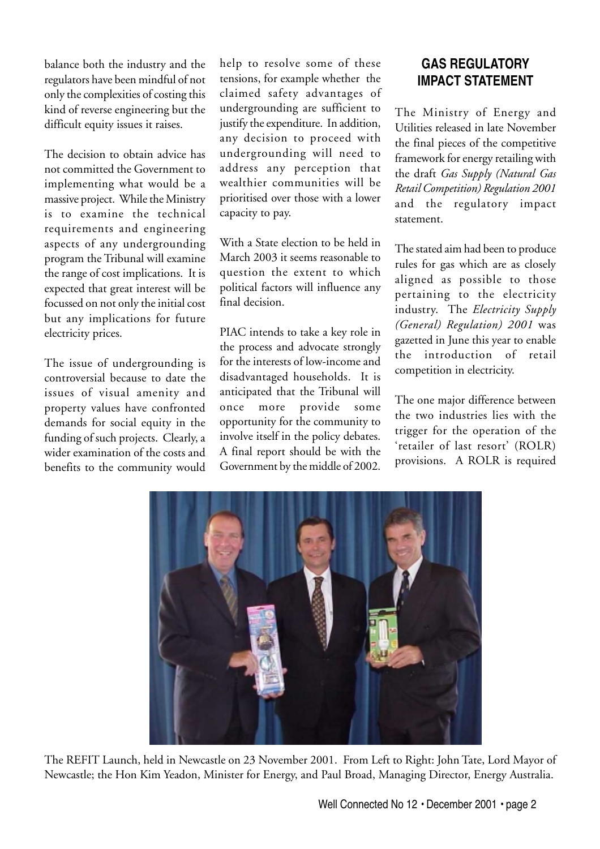balance both the industry and the regulators have been mindful of not only the complexities of costing this kind of reverse engineering but the difficult equity issues it raises.

The decision to obtain advice has not committed the Government to implementing what would be a massive project. While the Ministry is to examine the technical requirements and engineering aspects of any undergrounding program the Tribunal will examine the range of cost implications. It is expected that great interest will be focussed on not only the initial cost but any implications for future electricity prices.

The issue of undergrounding is controversial because to date the issues of visual amenity and property values have confronted demands for social equity in the funding of such projects. Clearly, a wider examination of the costs and benefits to the community would

help to resolve some of these tensions, for example whether the claimed safety advantages of undergrounding are sufficient to justify the expenditure. In addition, any decision to proceed with undergrounding will need to address any perception that wealthier communities will be prioritised over those with a lower capacity to pay.

With a State election to be held in March 2003 it seems reasonable to question the extent to which political factors will influence any final decision.

PIAC intends to take a key role in the process and advocate strongly for the interests of low-income and disadvantaged households. It is anticipated that the Tribunal will once more provide some opportunity for the community to involve itself in the policy debates. A final report should be with the Government by the middle of 2002.

# **GAS REGULATORY IMPACT STATEMENT**

The Ministry of Energy and Utilities released in late November the final pieces of the competitive framework for energy retailing with the draft *Gas Supply (Natural Gas Retail Competition) Regulation 2001* and the regulatory impact statement.

The stated aim had been to produce rules for gas which are as closely aligned as possible to those pertaining to the electricity industry. The *Electricity Supply (General) Regulation) 2001* was gazetted in June this year to enable the introduction of retail competition in electricity.

The one major difference between the two industries lies with the trigger for the operation of the 'retailer of last resort' (ROLR) provisions. A ROLR is required



The REFIT Launch, held in Newcastle on 23 November 2001. From Left to Right: John Tate, Lord Mayor of Newcastle; the Hon Kim Yeadon, Minister for Energy, and Paul Broad, Managing Director, Energy Australia.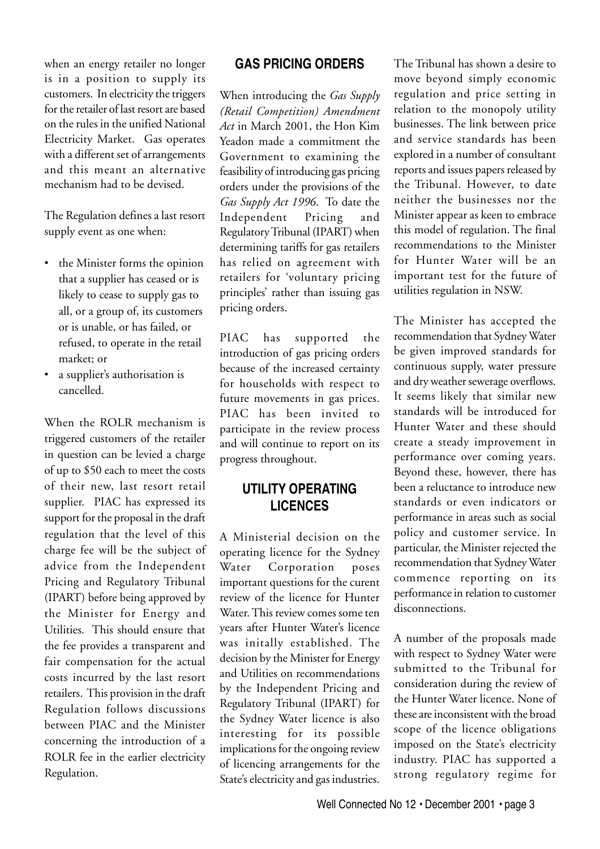when an energy retailer no longer is in a position to supply its customers. In electricity the triggers for the retailer of last resort are based on the rules in the unified National Electricity Market. Gas operates with a different set of arrangements and this meant an alternative mechanism had to be devised.

The Regulation defines a last resort supply event as one when:

- the Minister forms the opinion that a supplier has ceased or is likely to cease to supply gas to all, or a group of, its customers or is unable, or has failed, or refused, to operate in the retail market; or
- a supplier's authorisation is cancelled.

When the ROLR mechanism is triggered customers of the retailer in question can be levied a charge of up to \$50 each to meet the costs of their new, last resort retail supplier. PIAC has expressed its support for the proposal in the draft regulation that the level of this charge fee will be the subject of advice from the Independent Pricing and Regulatory Tribunal (IPART) before being approved by the Minister for Energy and Utilities. This should ensure that the fee provides a transparent and fair compensation for the actual costs incurred by the last resort retailers. This provision in the draft Regulation follows discussions between PIAC and the Minister concerning the introduction of a ROLR fee in the earlier electricity Regulation.

### **GAS PRICING ORDERS**

When introducing the *Gas Supply (Retail Competition) Amendment Act* in March 2001, the Hon Kim Yeadon made a commitment the Government to examining the feasibility of introducing gas pricing orders under the provisions of the *Gas Supply Act 1996*. To date the Independent Pricing and Regulatory Tribunal (IPART) when determining tariffs for gas retailers has relied on agreement with retailers for 'voluntary pricing principles' rather than issuing gas pricing orders.

PIAC has supported the introduction of gas pricing orders because of the increased certainty for households with respect to future movements in gas prices. PIAC has been invited to participate in the review process and will continue to report on its progress throughout.

### **UTILITY OPERATING LICENCES**

A Ministerial decision on the operating licence for the Sydney Water Corporation poses important questions for the curent review of the licence for Hunter Water. This review comes some ten years after Hunter Water's licence was initally established. The decision by the Minister for Energy and Utilities on recommendations by the Independent Pricing and Regulatory Tribunal (IPART) for the Sydney Water licence is also interesting for its possible implications for the ongoing review of licencing arrangements for the State's electricity and gas industries.

The Tribunal has shown a desire to move beyond simply economic regulation and price setting in relation to the monopoly utility businesses. The link between price and service standards has been explored in a number of consultant reports and issues papers released by the Tribunal. However, to date neither the businesses nor the Minister appear as keen to embrace this model of regulation. The final recommendations to the Minister for Hunter Water will be an important test for the future of utilities regulation in NSW.

The Minister has accepted the recommendation that Sydney Water be given improved standards for continuous supply, water pressure and dry weather sewerage overflows. It seems likely that similar new standards will be introduced for Hunter Water and these should create a steady improvement in performance over coming years. Beyond these, however, there has been a reluctance to introduce new standards or even indicators or performance in areas such as social policy and customer service. In particular, the Minister rejected the recommendation that Sydney Water commence reporting on its performance in relation to customer disconnections.

A number of the proposals made with respect to Sydney Water were submitted to the Tribunal for consideration during the review of the Hunter Water licence. None of these are inconsistent with the broad scope of the licence obligations imposed on the State's electricity industry. PIAC has supported a strong regulatory regime for